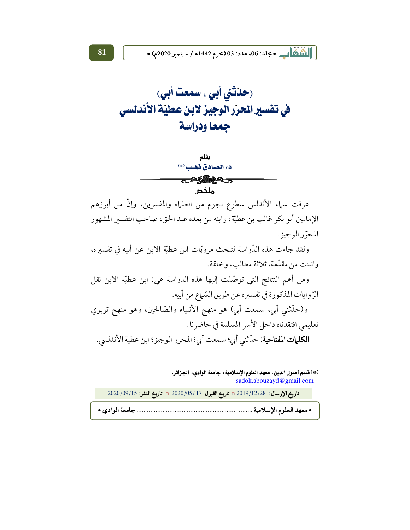(حدّثني أبي ، سمعت أبي) في تفسير الحرّر الوجيز لابن عطيّة الأندلسي جمعا ودراسة



عرفت سماء الأندلس سطوع نجوم من العلماء والمفسرين، وإنَّ من أبرزهم الإمامين أبو بكر غالب بن عطيَّة، وابنه من بعده عبد الحق، صاحب التفسير المشهور المحرِّر الوجبز .

ولقد جاءت هذه الدَّراسة لتبحث مرويَّات ابن عطيَّة الابن عن أبيه في تفسيره، وانبنت من مقدّمة، ثلاثة مطالب، وخاتمة.

ومن أهم النتائج التي توصَّلت إليها هذه الدراسة هي: ابن عطيَّة الابن نقل الرِّ وإيات المذكورة في تفسيرِه عن طريق السّياع من أبيه.

و(حدَّثني أبي، سمعت أبي) هو منهج الأنبياء والصَّالحين، وهو منهج تربوي تعليمي افتقدناه داخل الأسر المسلمة في حاضر نا. **الكليات المفتاحية**: حدّثني أبي؛ سمعت أبي؛ المحرر الوجيز؛ ابن عطية الأندلسي.

<sup>(\*)</sup> قسم أصول الدين، معهد العلوم الإسلامية، جامعة الوادي، الجزائر. sadok.abouzayd@gmail.com

|  | تاريخ الإرسال: 2019/12/28 تاريخ القبول: 17 /2020/05 تاريخ النشر: 2020/09/15 |  |
|--|-----------------------------------------------------------------------------|--|
|  |                                                                             |  |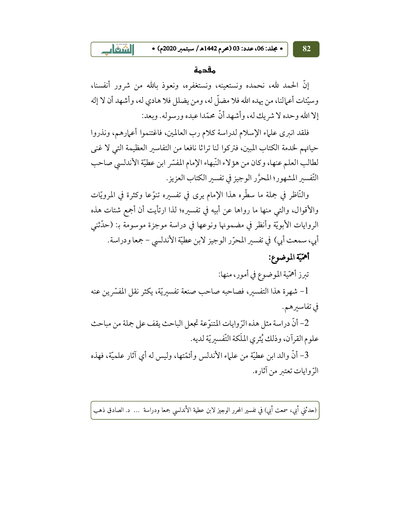• مجلد: 06، عدد: 03 (محرم 1442هـ/ سبتمبر 2020م) •

#### مقدمة

إنَّ الحمد لله، نحمده ونستعينه، ونستغفره، ونعوذ بالله من شرور أنفسنا، وسيِّئات أعمالنا، من يهده الله فلا مضلَّ له، ومن يضلل فلا هادي له، وأشهد أن لا إله إلا الله وحده لا شريك له، وأشهد أنَّ محمَّدا عبده ورسوله. وبعد:

فلقد انبرى علياء الإسلام لدراسة كلام رب العالمين، فاغتنموا أعمارهم، ونذروا حياتهم لخدمة الكتاب المبين، فتركوا لنا تراثا نافعا من التفاسير العظيمة التي لا غني لطالب العلم عنها، وكان من هؤلاء النَّبهاء الإمام المفسَّر ابن عطيَّة الأندلسي صاحب التّفسير المشهور؛ المحرَّر الوجيز في تفسير الكتاب العزيز .

والنَّاظر في جِملة ما سطَّره هذا الإمام يرى في تفسيرِه تنوَّعا وكثرة في المرويَّات والأقوال، والتي منها ما رواها عن أبيه في تفسيره؛ لذا ارتأيت أن أجمع شتات هذه الروايات الأبويَّة وأنظر في مضمونها ونوعها في دراسة موجزة موسومة بـ: (حدَّثني أبي، سمعت أبي) في تفسير المحرّر الوجيز لابن عطيّة الأندلسي – جمعا ودراسة.

## أهمّيّة الموضوع:

تبرز أهمّية الموضوع في أمور، منها:

1- شهرة هذا التفسير، فصاحبه صاحب صنعة تفسيريّة، يكثر نقل المفسّرين عنه في تفاسير هم.

2– أنَّ دراسة مثل هذه الرِّ وإيات المتنوِّ عة تجعل الباحث يقف على جملة من مباحث علوم القرآن، وذلك يُثرى الملَكة التّفسيريّة لديه.

3– أنَّ والد ابن عطيَّة من علياء الأندلس وأئمَّتها، وليس له أي آثار علميَّة، فهذه الرّ وايات تعتبر من آثاره.

(حدثني أبي، سمعت أبي) في تفسير المحرر الوجيز لابن عطية الأندلسي جمعا ودراسة … د. الصادق ذهب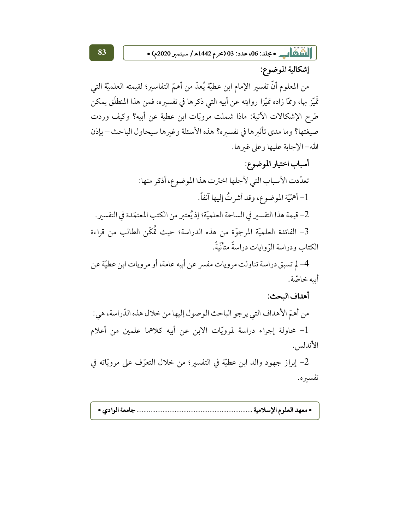||أَنَّالُكُمْ|| \_\_\_ • مجلد: 06، عدد: 03 (محرم 1442هـ/ سبتمبر 2020م) •

إشكالية الموضوع:

من المعلوم أنَّ تفسير الإمام ابن عطيَّة يُعدُّ من أهمّ التفاسير؛ لقيمته العلميَّة التي تَمَيّز بها، وممّا زاده تميّزا روايته عن أبيه التي ذكرها في تفسيره، فمن هذا المنطلَق يمكن طرح الإشكالات الآتية: ماذا شملت مرويّات ابن عطية عن أبيه؟ وكيف وردت صيغتها؟ وما مدى تأثيرها في تفسيره؟ هذه الأسئلة وغيرها سيحاول الباحث –بإذن الله- الإجابة عليها وعلى غيرها.

أسباب اختيار الموضوع: تعدّدت الأسباب التي لأجلها اخترت هذا الموضوع، أذكر منها: 1- أهمّيّة الموضوع، وقد أشرتُ إليها آنفاً. 2- قيمة هذا التفسير في الساحة العلميّة؛ إذ يُعتبر من الكتب المعتمَدة في التفسير. 3- الفائدة العلميّة المرجوّة من هذه الدراسة؛ حيث تُمكّن الطالب من قراءة الكتاب ودراسة الرّوايات دراسةً متأنّيةً.

4– لم تسبق دراسة تناولت مرويات مفسر عن أبيه عامة، أو مرويات ابن عطيّة عن أىبه خاصّة.

### أهداف البحث:

من أهمِّ الأهداف التي يرجو الباحث الوصول إليها من خلال هذه الدَّراسة، هي: 1- محاولة إجراء دراسة لمرويّات الابن عن أبيه كلاهما علمين من أعلام الأندلس.

2- إبراز جهود والد ابن عطيَّة في التفسير؛ من خلال التعرُّف على مرويَّاته في تفسيره.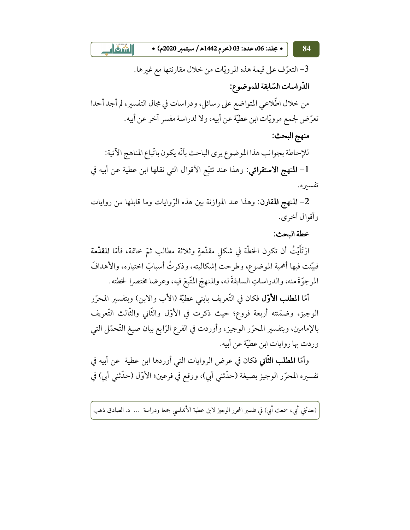$\Box$  onl • مجلد: 06، عدد: 03 (محرم 1442هـ/ سبتمبر 2020م) •

3- التعرّف على قيمة هذه المرويّات من خلال مقارنتها مع غيرها. الدّراسات السّابقة للموضوع: من خلال اطِّلاعي المتواضع على رسائل، ودراسات في مجال التفسير، لم أجد أحدا تعرِّض لجمع مرويَّات ابن عطيَّة عن أبيه، ولا لدراسة مفسر آخر عن أبيه. منهج البحث: للإحاطة بجوانب هذا الموضوع يرى الباحث بأنّه يكون باتّباع المناهج الآتية: l- المنهج الاستقرائي: وهذا عند تتبَّع الأقوال التي نقلها ابن عطية عن أبيه في

تفسيره.

84

2- المنهج المقارن: وهذا عند الموازنة بين هذه الرِّوايات وما قابلها من روايات وأقوال أخرى.

خطة البحث:

ارْتَأَيْتُ أن تكون الخطَّة في شكل مقدَّمةٍ وثلاثة مطالب ثمّ خاتمة، فأمّا **المقدَّمة** فبيّنت فيها أهمية الموضوع، وطرحت إشكاليته، وذكرتُ أسبابَ اختياره، والأهدافَ المرجوّةَ منه، والدراساتِ السابقةَ له، والمنهجَ المّتّبعَ فيه، وعرضا مختصرا لخطته.

أمّا **المطلب الأوّل** فكان في التّعريف بابني عطيّة (الأب والابن) وبتفسير المحرّر الوجيز، وضمّنته أربعة فروع؛ حيث ذكرت في الأوّل والثّاني والثّالث التّعريف بالإمامين، وبتفسير المحرّر الوجيز، وأوردت في الفرع الرّابع بيان صيغ التّحمّل التي وردت بها روايات ابن عطيَّة عن أبيه.

وأمّا **المطلب الثّاني** فكان في عرض الروايات التي أوردها ابن عطية عن أبيه في تفسيره المحرّر الوجيز بصيغة (حدّثني أبي)، ووقع في فرعين؛ الأوّل (حدّثني أبي) في

(حدثني أبي، سمعت أبي) في تفسير المحرر الوجيز لابن عطية الأندلسي جمعا ودراسة … د. الصادق ذهب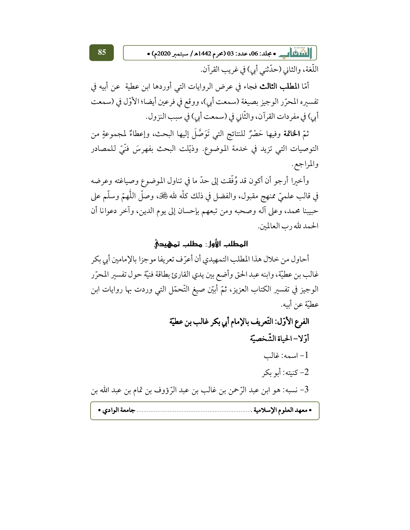||110 | يو • مجلد: 06، عدد: 03 (محرم 1442هـ/ سبتمبر 2020م) •

اللُّغة، والثاني (حدّثني أبي) في غريب القرآن.

أمّا **المطلب الثالث** فجاء في عرض الروايات التي أوردها ابن عطية عن أبيه في تفسيره المحرّر الوجيز بصيغة (سمعت أبي)، ووقع في فرعين أيضا؛ الأوّل في (سمعت أبي) في مفردات القرآن، والثَّاني في (سمعت أبي) في سبب النزول.

85

ثمّ ا**لخاتمة** وفيها حَصْرٌ للنتائج التي تَوَصَّلَ إليها البحث، وإعطاءٌ لمجموعةٍ من التوصيات التي تزيد في خدمة الموضوع. وذيّلت البحث بفهرسَ فنّيّ للمصادر والمراجع.

وأخبرا أرجو أن أكون قد وُفَّقت إلى حدّ ما في تناول الموضوع وصياغته وعرضه في قالب علميّ ممنهج مقبول، والفضل في ذلك كلَّه لله ﷺ، وصلَّ اللَّهمّ وسلَّم على حبيبنا محمد، وعلى آله وصحبه ومن تبعهم بإحسان إلى يوم الدين، وآخر دعوانا أن الحمد لله رب العالمين.

## المطلب الأول: مطلب تمهيدي

أحاول من خلال هذا المطلب التمهيدي أن أعرِّف تعريفا موجزا بالإمامين أبي بكر غالب بن عطيّة، وابنه عبد الحق وأضع بين يدي القارئ بطاقة فنيّة حول تفسير المحرّر الوجيز في تفسير الكتاب العزيز، ثمّ أبيّن صيغ التّحمّل التي وردت بها روايات ابن عطيّة عن أبيه.

الفرع الأوّل: التّعريف بالإمام أبي بكر غالب بن عطيّة أوّلا-الحياة الشّخصيّة  $-1$ اسمه: غالب 2- كنيته: أبو بكر 3– نسبه: هو ابن عبد الرِّحمن بن غالب بن عبد الرِّؤوف بن تمام بن عبد الله بن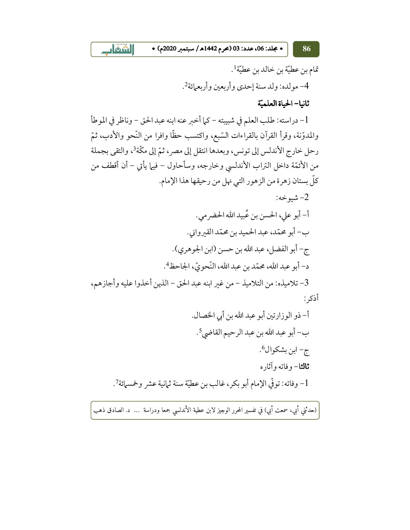• مجلد: 06، عدد: 03 (محرم 1442هـ/ سبتمبر 2020م) •

 $\frac{1}{2}$  only

تمام بن عطيّة بن خالد بن عطيّة!. 4- مولده: ولد سنة إحدى وأربعين وأربعهائة2.

ثانيا- الحياة العلميّة

1- دراسته: طلب العلم في شبيبته - كما أخبر عنه ابنه عبد الحق - وناظر في الموطأ والمدوّنة، وقرأ القرآن بالقراءات السَّبِع، واكتسب حظًّا وافرا من النَّحو والأدب، ثمّ رحل خارج الأندلس إلى تونس، وبعدها انتقل إلى مصر ، ثمّ إلى مكّة<sup>3</sup>، والتقى بجملة من الأئمَّة داخل التراب الأندلسي وخارجه، وسأحاول – فيها يأتي – أن أقطف من كلِّ بستان زهرة من الزهور التي نهل من رحيقها هذا الإمام.

: شبو خه $-2$ أ- أبو على، الحسن بن عُبيد الله الحضر مي. ب- أبو محمّد، عبد الحميد بن محمّد القيرواني. ج- أبو الفضل، عبد الله بن حسن (ابن الجوهري). د- أبو عبد الله، محمّد بن عبد الله، النّجو يّ، الجاحظ<sup>4</sup>. 3- تلاميذه: من التلاميذ – من غير ابنه عبد الحق – الذين أخذوا عليه وأجازهم، أذكر :

(حدثني أبي، سمعت أبي) في تفسير المحرر الوجيز لابن عطية الأندلسي جمعا ودراسة … د. الصادق ذهب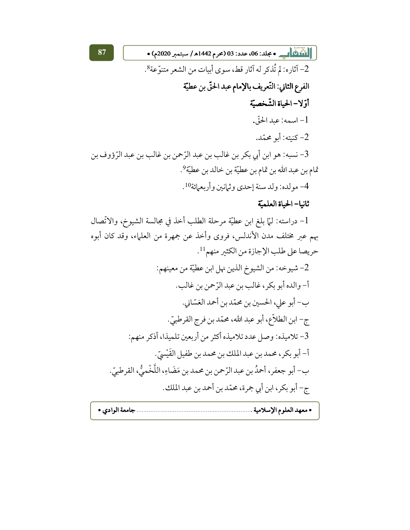|| المُلَاثِ || \_\_\_ • مجلد: 06، عدد: 03 (عرم 1442هـ/ سبتمبر 2020م) • 2- آثاره: لم تُذكر له آثار قط، سوى أبيات من الشعر متنوِّعة؟. الفرع الثاني: التّعريف بالإمام عبد الحقّ بن عطيّة أوّ لا – الحياة الشّخصيّة 1- اسمه: عبد الحقّ. 2- كنبته: أبو محمَّد.

3- نسبه: هو ابن أبي بكر بن غالب بن عبد الرِّحمن بن غالب بن عبد الرِّؤوف بن تمام بن عبد الله بن تمام بن عطيّة بن خالد بن عطيّة<sup>9</sup>.

4- مولده: ولد سنة إحدى وثمانين وأربعمائة10.

## ثانيا- الحياة العلميّة

1- دراسته: لمَّا بلغ ابن عطيَّة مرحلة الطلب أخذ في مجالسة الشيوخ، والاتِّصال بهم عبر مختلف مدن الأندلس، فروى وأخذ عن جمهرة من العلماء، وقد كان أبوه حريصا على طلب الإجازة من الكثير منهم<sup>11</sup>.

2- شيوخه: من الشيوخ الذين نهل ابن عطيّة من معينهم: أ- والده أبو بكر، غالب بن عبد الرَّحمن بن غالب. ب- أبو على، الحسين بن محمّد بن أحمد الغسّاني. ج- ابن الطلاّع، أبو عبد الله، محمّد بن فرج القرطبيّ. 3- تلاميذه: وصل عدد تلاميذه أكثر من أربعين تلميذا، أذكر منهم: أ- أبو بكر، محمد بن عبد الملك بن محمد بن طفيل القَيْسيّ. ب- أبو جعفر، أحمدُ بن عبد الرّحمن بن محمد بن مَضَاءِ، اللَّخْميُّ، القرطبيّ. ج- أبو بكر ، ابن أبي جمرة، محمّد بن أحمد بن عبد الملك.

|--|--|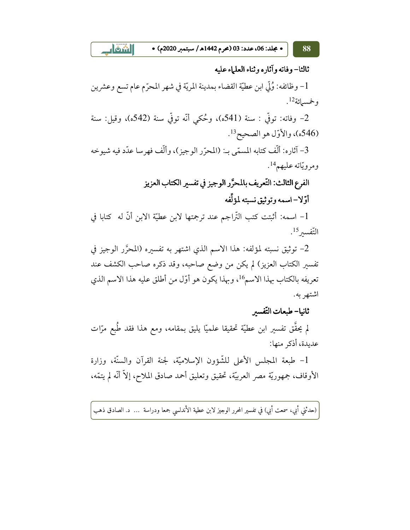• مجلد: 06، عدد: 03 (محرم 1442هـ / سبتمبر 2020م) •

88

 $\mathbf{A}$ 

ثالثا– وفاته وآثاره وثناء العلماء عليه 1- وظائفه: وُلِّي ابن عطيّة القضاء بمدينة المريّة في شهر المحرّم عام تسع وعشرين وخمسمائة12. 2- وفاته: توفّي : سنة (541ه)، وحُكمي أنّه توفّي سنة (542ه)، وقيل: سنة (546ه)، والأوّل هو الصحيح<sup>13</sup>. 3– آثاره: ألَّف كتابه المسمَّى بـ: (المحرَّر الوجيز )، وألَّف فهرسا عدَّد فيه شيوخه ومرويّاته عليهم<sup>14</sup>. الفرع الثالث: التَّعريف بالمحرَّر الوجيز في تفسير الكتاب العزيز أوّ لا – اسمه و تو ثبق نسبته لمؤ لِّفه 1- اسمه: أثبتت كتب التِّراجم عند ترجمتها لابن عطيّة الابن أنّ له كتابا في التّفسير <sup>15</sup>. 2- توثيق نسبته لمؤلفه: هذا الاسم الذي اشتهر به تفسيره (المحرَّر الوجيز في تفسير الكتاب العزيز) لم يكن من وضع صاحبه، وقد ذكره صاحب الكشف عند تعريفه بالكتاب بهذا الاسم16، وبهذا يكون هو أوَّل من أطلق عليه هذا الاسم الذي اشتهر به. ثانيا- طبعات التّفسير لم يحقَّق تفسير ابن عطيَّة تحقيقا علميًّا يليق بمقامه، ومع هذا فقد طُبِع مرّات عديدة، أذكر منها: 1- طبعة المجلس الأعلى للشَّؤون الإسلاميَّة، لجنة القرآن والسنَّة، وزارة

الأوقاف، جمهوريَّة مصر العربيَّة، تحقيق وتعليق أحمد صادق الملاح، إلاَّ أنَّه لم يتمَّه،

(حدثني أبي، سمعت أبي) في تفسير المحرر الوجيز لابن عطية الأندلسي جمعا ودراسة … د. الصادق ذهب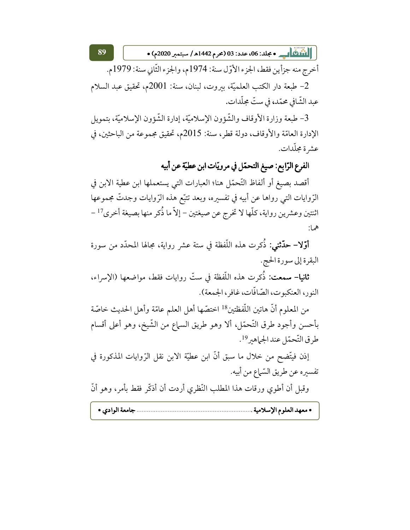||1100 هـ • جلد: 06، عدد: 03 (محرم 1442هـ/ سبتمبر 2020م) •

أخرج منه جزأين فقط، الجزء الأوّل سنة: 1974م، والجزء الثّاني سنة: 1979م. 2- طبعة دار الكتب العلميّة، بيروت، لبنان، سنة: 2001م، تحقيق عبد السلام عبد الشَّافي محمّد، في ستّ مجلّدات.

89

3- طبعة وزارة الأوقاف والشُّؤون الإسلاميَّة، إدارة الشُّؤون الإسلاميَّة، بتمويل الإدارة العامّة والأوقاف، دولة قطر، سنة: 2015م، تحقيق مجموعة من الباحثين، في عشر ة مجلّدات.

الفرع الرّابِع: صيغ التحمّل في مرويّات ابن عطيّة عن أبيه

أقصد بصيغ أو ألفاظ التَّحمّل هنا؛ العبارات التي يستعملها ابن عطية الابن في الرَّوايات التي رواها عن أبيه في تفسيره، وبعد تتبَّع هذه الرَّوايات وجدتَّ مجموعها اثنتين وعشرين رواية، كلَّها لا تخرج عن صيغتين – إلاَّ ما ذُكر منها بصيغة أخرى<sup>17</sup> – هما:

**أوّلا– حدّثني:** ذُكرت هذه اللّفظة في ستة عشر رواية، مجالها المحدّد من سورة البقرة إلى سورة الحج.

**ثانيا– سمعت:** ذُكرت هذه اللُّفظة في ستّ روايات فقط، مواضعها (الإسراء، النور، العنكبوت، الصّافّات، غافر ، الجمعة).

من المعلوم أنَّ هاتين اللُّفظتين<sup>18</sup> اختصّها أهل العلم عامّة وأهل الحديث خاصّة بأحسن وأجود طرق التَّحمّل، ألا وهو طريق السماع من الشَّيخ، وهو أعلى أقسام طرق التّحمّل عند الجماهير<sup>19</sup>.

إذن فيتَّضح من خلال ما سبق أنَّ ابن عطيَّة الابن نقل الرِّوايات المذكورة في تفسيره عن طريق السّياع من أبيه.

وقبل أن أطوي ورقات هذا المطلب النَّظري أردت أن أذكَّر فقط بأمر، وهو أنَّ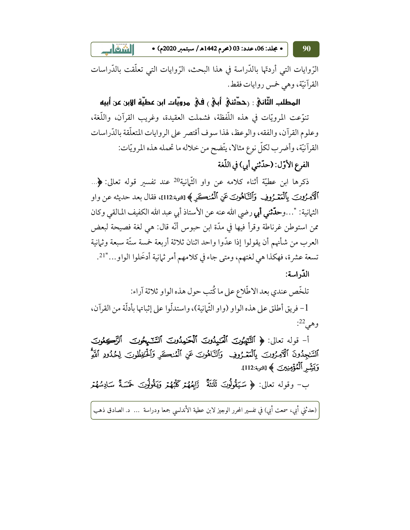• مجلد: 06، عدد: 03 (محرم 1442هـ / سبتمبر 2020م) •  $\left| \right|$  on  $\left| \right|$ 90

الرِّوايات التي أردتُّها بالدَّراسة في هذا البحث، الرِّوايات التي تعلَّقت بالدَّراسات القرآنيّة، وهي خمس روايات فقط.

المطلب الثَّانهُ : رححَّثنهُ ۖ أَبِهُ ﴾ في مرويَّات ابن عطيَّة الإبن عن أبيه تنوَّعت المرويَّات في هذه اللَّفظة، فشملت العقيدة، وغريب القرآن، واللُّغة، وعلوم القرآن، والفقه، والوعظ، لهذا سوف أقتصر على الروايات المتعلَّقة بالدِّراسات القرآنيّة، وأضرب لكلّ نوع مثالا، يتّضح من خلاله ما تحمله هذه المرويّات:

الفرع الأوّل: (حدّثني أبي) في اللّغة

ذكرها ابن عطيَّة أثناء كلامه عن واو الثَّمانية<sup>20</sup> عند تفسَّس قوله تعالى: ﴿... ٱلْآئِمِرُونِـنَ بِٱلْمَعْـرُوفِ ۚ وَٱلنَّـاهُونِـنَ عَنِ ٱلْمُنڪَرِ ﴾ [التوبة:112]، فقال بعد حديثه عن واو الثمانية: "…وح**دّثني أبي** رضي الله عنه عن الأستاذ أبي عبد الله الكفيف المالقي وكان ممن استوطن غرناطة وقرأ فيها في مدَّة ابن حبوس أنَّه قال: هي لغة فصيحة لبعض العرب من شأنهم أن يقولوا إذا عدُّوا واحد اثنان ثلاثة أربعة خمسة ستَّة سبعة وثيانية تسعة عشرة، فهكذا هي لغتهم، ومتى جاء في كلامهم أمر ثيانية أدخَلوا الواو..."21.

الدّراسة:

تلخَّص عندي بعد الاطِّلاع على ما كُتب حول هذه الواو ثلاثة آراء: 1 – فريق أطلق على هذه الواو (واو الثَّمانية)، واستدلُّوا على إثباتها بأدلَّة من القرآن، وهي<sup>22</sup>:

أ- قوله تعالى: ﴿ ٱلتَّيَبُونَ ٱلْعَـٰدِيدُونَ ٱلْحَـٰدِيدُونَ ٱلسَّنَـٰمِحُونَ ۚ ٱلْزَكِعُونَ ٱلسَّـٰجِدُونَ ٱلۡأَمِـرُونَ ۚ بِٱلۡمَعۡـرُوفِ ۚ وَٱلنَّاهُونَ عَنِ ٱلۡمُنڪَرِ وَٱلۡـوَٰفُطُونَ لِحُدُودِ ٱللَّهِ وَبَيِّسْ ٱلْمُؤْمِنِينَ ﴾ [التوبة:112].

ب- وقوله تعالى: ﴿ سَيَقُولُونَ ثَلَثَةٌ ۚ زَابِعُهُمْ كَلَبُهُمْ وَيَقُولُونَ خَمْسَةٌ سَادِسُهُمْر

(حدثني أبي، سمعت أبي) في تفسير المحرر الوجيز لابن عطية الأندلسي جمعا ودراسة … د. الصادق ذهب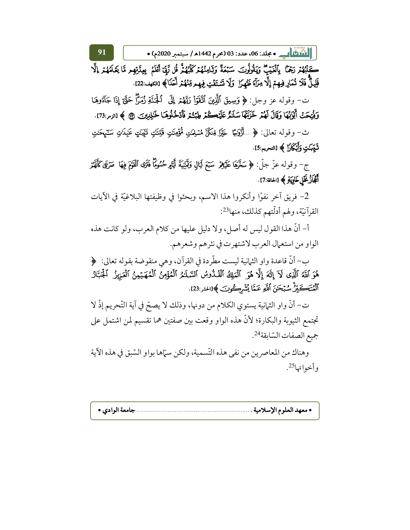||1100 هـ • جلد: 06، عدد: 03 (محرم 1442هـ/ سبتمبر 2020م) •

كَلِّبُهُمْ رَجْمًا ۚ بِٱلۡفَيۡبَ ۚ وَيَقُولُونَ ۖ سَبۡعَةٌ وَثَامِنُهُمۡ كَلۡبُهُمۡٓ قُل لَّهَآ أَعۡلَمُ بِعِنَّزِهِم مَّا يَعۡلَمُهُمۡ إِلَّا قَلِيلٌ فَلَا تُمَارِ فِيهِمْ إِلَّا مِرَآةَ ظَهِرًا ۖ وَلَا تَشْتَفَّتِ فِيهِم مِّنْهُمْ أَحَدًا﴾ [الكهف:22].

91

ت- وقوله عز وجل: ﴿ وَسِيقَ ٱلَّذِينَ ٱتَّقَوَّا رَبَّهُمۡ إِلَى ٱلۡجَنَّةِ زُمَرًّا حَتَّىٓ إِذَا جَآءُوهَا وَفُتِحَتْ أَبْوَابُهَا وَقَالَ لَهُمْ خَزَنَتُهَا سَلَامٌ عَلَيْمَكْمْ طِبْتُكْر فَأَدْخُلُوهَا خَلِلِيْنَ ۞ ﴾ [الزمر:73].

ث– وقوله تعالى: ﴿ …أَزَوَلِجَا خَيْرًا مِّنكُنَّ مُسْلِمَكِ مُؤْمِنَكِ قُلِنتَكِ تَنْهَبَكِ عَلِمَانِ سَكَهْحَكِ ثَيّبَكِتِ وَأَبْكَلَالٍ ﴾ [التحريم:5].

ج- وقوله عزّ جلّ: ﴿ سَخَّهَا عَلَيْهِمْ سَبْعَ لَيَالٍ وَقَمَيْنِيَةَ أَيَّامٍ حُسُومًا فَتَرَى ٱلْقَقَ فِيهَا صَرْعَىٰ كأَفَهُمْ أَتَجَازُ غَلْ خَاوِيَةِ ﴾ [الحاقة:7].

2– فريق آخر نفوْا وأنكروا هذا الاسم، وبحثوا في وظيفتها البلاغيّة في الآيات القرآنيّة، ولهم أدلّتهم كذلك، منها23:

أ- أنَّ هذا القول ليس له أصل، ولا دليل عليها من كلام العرب، ولو كانت هذه الواو من استعمال العرب لاشتهرت في نثرهم وشعرهم.

ب- أنَّ قاعدة وإو الثيانية ليست مطَّردة في القرآن، وهي منقوضة بقوله تعالى: ﴿ هُوَ ٱللَّهُ ٱلَّذِى لَآ إِلَٰهَ إِلَّا هُوَ ٱلۡمَالِىُ ٱلۡقُدُّوسُ ٱلسَّلَـٰلَٰمُ ٱلۡمُؤۡمِنُ ٱلۡمُهَيۡمِنُ ٱلۡعَزِيزُ ٱلۡجَنَارُ ٱلْمُتَكَبِّرِ ۚ سُبْحَنَ ٱللَّهِ عَمَّا يُشْرِكُونَ ﴾[الحشر:23].

ت– أنَّ واو الثمانية يستوى الكلام من دونها، وذلك لا يصحَّ في آية التَّحريم إذْ لا تجتمع الثيوبة والبكارة؛ لأنَّ هذه الواو وقعت بين صفتين هما تقسيم لمن اشتمل على جميع الصفات السّابقة<sup>24</sup>.

وهناك من المعاصرين من نفي هذه التّسمية، ولكن سمّاها بواو السّبق في هذه الآية وأخوا تها<sup>25</sup>.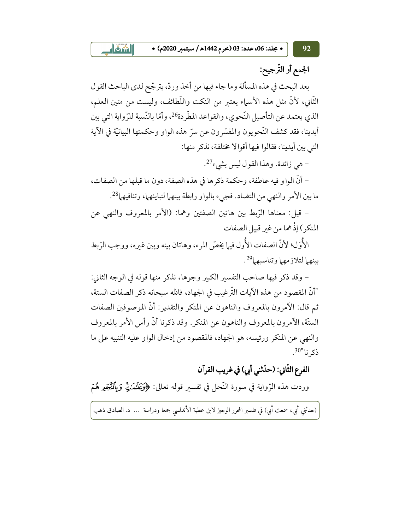• مجلد: 06، عدد: 03 (محرم 1442هـ/ سبتمبر 2020م) •

 $\Box$  only

الجمع أو التّرجيح:

92

بعد البحث في هذه المسألة وما جاء فيها من أخذ وردّ، يترجّح لدى الباحث القول الثَّاني، لأنَّ مثل هذه الأسباء يعتبر من النكت واللَّطائف، وليست من متين العلم، الذي يعتمد عن التأصيل النّحوي، والقواعد المطّردة26، وأمّا بالنّسبة للرّواية التي بين أيدينا، فقد كشف النَّحويون والمفسَّرون عن سرٍّ هذه الواو وحكمتها البيانيَّة في الآية التي بين أيدينا، فقالوا فيها أقوالا مختلفة، نذكر منها:

- هي زائدة. وهذا القول ليس بشيء<sup>27</sup>.

– أنَّ الواو فيه عاطفة، وحكمة ذكرها في هذه الصفة، دون ما قبلها من الصفات، ما بين الأمر والنهي من التضاد. فجيء بالواو رابطة بينهما لتباينهما، وتنافيهما28.

– قيل: معناها الرَّبط بين هاتين الصفتين وهما: (الأمر بالمعروف والنهي عن المنكر) إذْ هما من غير قبيل الصفات

الأُوَل؛ لأنَّ الصفات الأُول فيها يخصُّ المرء، وهاتان بينه وبين غيره، ووجب الرَّبط بينهما لتلازمهما وتناسبهما<sup>29</sup>.

– وقد ذكر فيها صاحب التفسير الكبير وجوها، نذكر منها قوله في الوجه الثاني: "أنَّ المقصود من هذه الآيات التَّرغيب في الجهاد، فالله سبحانه ذكر الصفات الستة، ثم قال: الأمرون بالمعروف والناهون عن المنكر والتقدير: أنَّ الموصوفين الصفات الستَّة، الأمرون بالمعروف والناهون عن المنكر . وقد ذكرنا أنَّ رأس الأمر بالمعروف والنهي عن المنكر ورئيسه، هو الجهاد، فالمقصود من إدخال الواو عليه التنبيه على ما ذكرنا"<sup>30</sup>.

# الفرع الثَّاني: (حدِّثني أبي) في غريب القرآن

وردت هذه الرّواية في سورة النّحل في تفسير قوله تعالى: ﴿وَيَقَلَّمَنَّنِّ وَيَأْلَنَّجْمِهِ هُمْ

(حدثني أبي، سمعت أبي) في تفسير المحرر الوجيز لابن عطية الأندلسي جمعا ودراسة … د. الصادق ذهب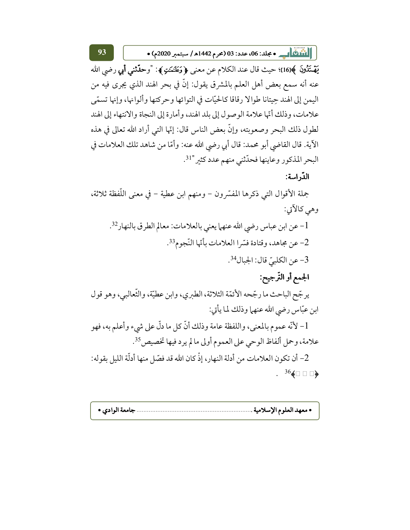يَهْتَدُونَ ﴾[16]؛ حيث قال عند الكلام عن معنى ﴿ وَعَلَنْمَتِ ﴾: "وحدَّثنى أبي رضي الله عنه أنه سمع بعض أهل العلم بالمشرق يقول: إنَّ في بحر الهند الذي يجرى فيه من اليمن إلى الهند حِيتانا طوالا رقاقا كالحيّات في التوائها وحركتها وألوانها، وإنها تسمّى علامات، وذلك أنَّها علامة الوصول إلى بلد الهند، وأمارة إلى النجاة والانتهاء إلى الهند لطول ذلك البحر وصعوبته، وإنَّ بعض الناس قال: إنَّها التي أراد الله تعالى في هذه الآية. قال القاضي أبو محمد: قال أبي رضي الله عنه: وأمَّا من شاهد تلك العلامات في البحر المذكور وعاينها فحدّثني منهم عدد كثير "<sup>31</sup>.

## الدّراسة:

جملة الأقوال التي ذكرها المفسّرون – ومنهم ابن عطية – في معنى اللّفظة ثلاثة، وهي كالآتي:

1- عن ابن عباس رضي الله عنهما يعني بالعلامات: معالم الطرق بالنهار32. 2- عن مجاهد، وقتادة فسّرا العلامات بأنّها النّجو م<sup>33</sup>. 3- عن الكلبيّ قال: الجبال<sup>34</sup>.

# الجمع أو التّرجيح:

يرجِّح الباحث ما رجِّحه الأئمَّة الثلاثة، الطبري، وابن عطيَّة، والثَّعالبي، وهو قول ابن عبَّاس رضي الله عنهما وذلك لما يأتي:

1- لأنَّه عموم بالمعنى، واللفظة عامة وذلك أنَّ كلَّ ما دلَّ على شيء وأعلم به، فهو علامة، وحمل ألفاظ الوحي على العموم أولى ما لم يرد فيها تخصيص35.

2- أن تكون العلامات من أدلة النهار، إذْ كان الله قد فصّل منها أدلّة الليل بقوله:  $. \t366$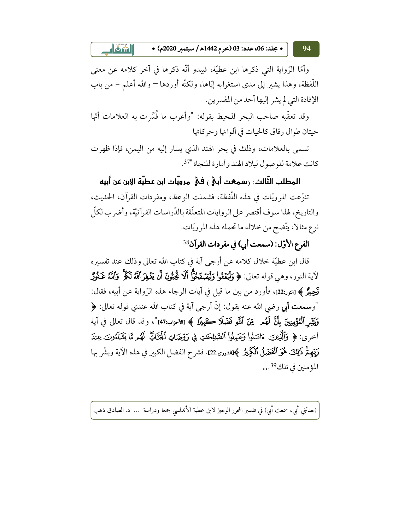• مجلد: 06، عدد: 03 (محرم 1442هـ/ سبتمبر 2020م) •

94

وأمَّا الرَّواية الَّتِي ذكرها ابن عطيَّة، فيبدو أنَّه ذكرها في آخر كلامه عن معنى اللُّفظة، وهذا يشير إلى مدى استغرابه إيَّاها، ولكنَّه أوردها – والله أعلم – من باب الإفادة التي لم يشر إليها أحد من المفسرين.

 $\Box$  $\delta$ iil

وقد تعقُّبه صاحب البحر المحيط بقوله: "وأغرب ما فُسِّرت به العلامات أنَّها حيتان طوال رقاق كالحيات في ألوانها وحركاتها

تسمى بالعلامات، وذلك في بحر الهند الذي يسار إليه من اليمن، فإذا ظهرت كانت علامة للوصول لبلاد الهند وأمارة للنجاة "37.

المطلب الثَّالث: رسمعت أبيٍّ ، فيْ مرويَّات ابن عطيَّة الإبن عن أبيه تنوَّعت المرويَّات في هذه اللُّفظة، فشملت الوعظ، ومفردات القرآن، الحديث، والتاريخ، لهذا سوف أقتصر على الروايات المتعلّقة بالدّراسات القرآنيّة، وأضرب لكلّ نوع مثالا، يتّضح من خلاله ما تحمله هذه المرويّات.

الفرع الأوّل: (سمعت أبي) في مفردات القرآن<sup>38</sup>

قال ابن عطيَّة خلال كلامه عن أرجى آية في كتاب الله تعالى وذلك عند تفسيره لآية النور، وهي قوله تعالى: ﴿ وَلْيَعْفُواْ وَلْيَصْفَحُوًّا أَلَا يُحِبُّونَ أَن يَغْفِرَ ٱللَّهُ لَكُمْ ۚ وَٱللَّهُ غَفُوْرٌ **تَحِيْرُ ﴾ [ا**لنور:22]، فأورد من بين ما قيل في آيات الرجاء هذه الرِّواية عن أبيه، فقال: "وسمعت أبي رضي الله عنه يقول: إنَّ أرجى آية في كتاب الله عندي قوله تعالى: ﴿ وَيَشِّر ٱلْمُؤْمِنِينَ بِأَنَّ لَهُم ۖ مِّنَ ٱللَّهِ فَضْلَا كَجَبِيلَ ﴾ [الأحزاب:47]"، وقد قال تعالى في آية أخرى: ﴿ وَٱلَّذِينَ ۚ ءَامَنُواْ وَعَمِلُواْ ٱلصَّلِلِحَـٰتِ فِي رَوْضَانِ ٱلْجَنَّاتِ لَهُمْ مَّا يَشَآءُونَ عِندَ رَبِّهِمُّ ذَلِكَ هُوَ ٱلْفَضَّلُ ٱلْكَبِيرُ ﴾[الشورى:22]. فشرح الفضل الكبير في هذه الآية وبشَّر بها المؤمنين في تلك<sup>39</sup>...

(حدثني أبي، سمعت أبي) في تفسير المحرر الوجيز لابن عطية الأندلسي جمعا ودراسة … د. الصادق ذهب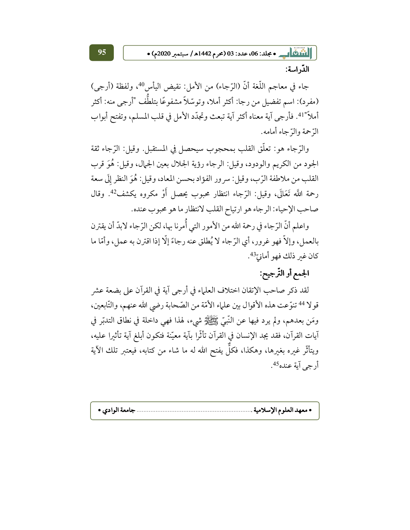| الثَّاكُ | \_\_\_ • مجلد: 06، عدد: 03 (محرم 1442ه / سبتمبر 2020م) •

الدّراسة:

جاء في معاجم اللُّغة أنَّ (الرِّجاء) من الأمل: نقيض اليأس<sup>40</sup>، ولفظة (أرجى) (مفرد): اسم تفضيل من رجا: أكثر أملا، وتوسّلاً مشفوعًا بتلطُّف "أرجى منه: أكثر أملاً"41. فأرجى آية معناه أكثر آية تبعث وتجدّد الأمل في قلب المسلم، وتفتح أبواب الرَّ حمة والرِّ جاء أمامه.

والرَّجاء هو : تعلَّق القلب بمحجوب سيحصل في المستقبل. وقيل: الرَّجاء ثقة الجود من الكريم والودود، وقيل: الرجاء رؤية الجلال بعين الجمال، وقيل: هُوَ قرب القلب من ملاطفة الرَّب، وقيل: سرور الفؤاد بحسن المعاد، وقيل: هُوَ النظر إلَى سعة رحمة اللَّه تَعَالَى، وقيل: الرِّجاء انتظار محبوب يحصل أَوْ مكروه يكشف<sup>42</sup>. وقال صاحب الإحياء: الرجاء هو ارتياح القلب لانتظار ما هو محبوب عنده.

واعلم أنَّ الرَّجاء في رحمة الله من الأمور التي أُمرنا بها، لكن الرَّجاء لابدَّ أن يقترن بالعمل، وإلاَّ فهو غرور، أي الرِّجاء لا يُطلق عنه رجاءً إلَّا إذا اقترن به عملٍ، وأمَّا ما كان غير ذلك فهو أمانيّ<sup>43</sup>.

# الجمع أو التَّرجيح:

لقد ذكر صاحب الإتقان اختلاف العلماء في أرجى آية في القرآن على بضعة عشر قولا <sup>44</sup> تنوّعت هذه الأقوال بين علماء الأمّة من الصّحابة رضي الله عنهم، والتّابعين، ومَن بعدهم، ولم يرد فيها عن النَّبيُّ ﷺ شيء، لهذا فهي داخلة في نطاق التدبَّر في آيات القرآن، فقد يجد الإنسان في القرآن تأثَّرا بآية معيَّنة فتكون أبلغ آية تأثيرا عليه، ويتأثَّر غيره بغيرها، وهكذا، فكلَّ يفتح الله له ما شاء من كتابه، فيعتبر تلك الآية  $^{45}$ أرجي آية عنده $^{45}$ .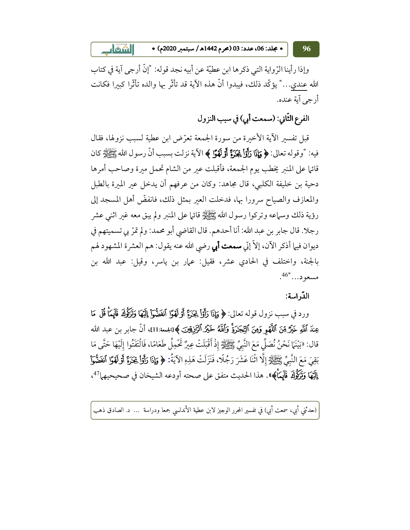$\Box$  $\delta$ iil • مجلد: 06، عدد: 03 (محرم 1442هـ/ سبتمبر 2020م) • 96

وإذا رأينا الرِّ واية التي ذكرها ابن عطيَّة عن أبيه نجد قوله: "إنَّ أرجى آية في كتاب الله عندي..." يؤكَّد ذلك، فيبدوا أنَّ هذه الآية قد تأثَّر بها والده تأثُّرا كبيرا فكانت أرجى آية عنده.

الفرع الثَّاني: (سمعت أبي) في سبب النزول

قبل تفسير الآية الأخبرة من سورة الجمعة تعرَّض ابن عطية لسبب نزولها، فقال فيه: "وقو له تعالى: ﴿ وَإِذَا رَأَوْاً يَجَدِّهً أَوْ لَهَوَّا ﴾ الآية نزلت بسبب أنَّ رسو ل الله ﷺ كان قائلم على المنبر يخطب يوم الجمعة، فأقبلت عبر من الشام تحمل مبرة وصاحب أمرها دحية بن خليفة الكلبي، قال مجاهد: وكان من عرفهم أن يدخل عير الميرة بالطبل والمعازف والصياح سرورا بها، فدخلت العير بمثل ذلك، فانفضَّ أهل المسجد إلى رؤية ذلك وسماعه وتركوا رسول الله ﷺ قائما على المنبر ولم يبق معه غير اثنى عشر رجلا. قال جابر بن عبد الله: أنا أحدهم. قال القاضي أبو محمد: ولم تمرّ بي تسميتهم في ديوان فيها أذكر الآن، إلاَّ إنَّى **سمعت أبي** رضي الله عنه يقول: هم العشرة المشهود لهم بالجنة، واختلف في الحادي عشر، فقيل: عمار بن ياسر، وقيل: عبد الله بن 

### الدّراسة:

ورد في سبب نزول قوله تعالى: ﴿ وَإِذَا رَأَوْاْ يَجَزَؤُ أَوْلَهَوَا ٱنقَضُّوْاْ إِلَيْهَا وَتَرَكَّوُكَ قَايَمَأْ قُلْ مَا عِندَ ٱللَّهِ خَيْرٌ مِّنَ ٱللَّهَوِ وَمِنَ ٱلتِّجَرَةِ ۚ وَٱللَّهُ خَيْرُ ٱلزَّزِقِينَ ﴾[الجمعة:11]، أنّ جابر بن عبد الله قال: «بَيْنَهَا نَحْنُ نُصَلِّ مَعَ النَّبِيِّ ﷺ إِذْ أَقْبَلَتْ عِيرٌ تَحْمِلُ طَعَامًا، فَالْتَفَتُوا إلَيْهَا حَتَّى مَا بَقِيَ مَعَ النَّبِيِّ ﷺ إِلَّا اثْنَا عَشَرَ رَجُلًا، فَنَزَلَتْ هَذِهِ الآيَةُ: ﴿ وَإِذَا رَأَوْاً يَجَزَؤَ أَوْ لَهَوًا أَنفَضُّواْ إِلَيْهَا وَتَرَكُّوكَ قَابَمَتْكَ». هذا الحديث متفق على صحته أو دعه الشيخان في صحيحيها<sup>47</sup>،

(حدثني أبي، سمعت أبي) في تفسير المحرر الوجيز لابن عطية الأندلسي جمعا ودراسة … د. الصادق ذهب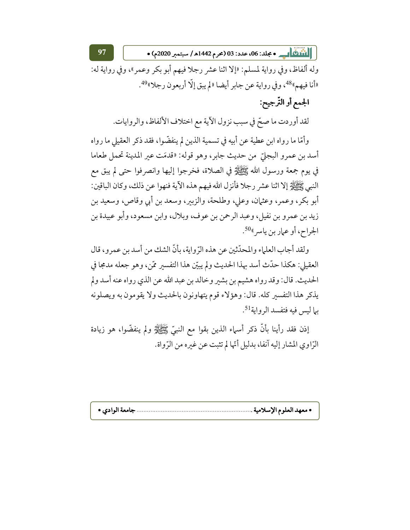||1100 هـ • جلد: 06، عدد: 03 (محرم 1442هـ/ سبتمبر 2020م) •

وله ألفاظ، وفي رواية لمسلم: «إلا اثنا عشر رجلا فيهم أبو بكر وعمر»، وفي رواية له: «أنا فيهم»48، وفي رواية عن جابر أيضا «لم يبق إلّا أربعون رجلا»49.

# الجمع أو التَّرجيح:

لقد أوردت ما صحّ في سبب نزول الآية مع اختلاف الألفاظ، والروايات.

وأمَّا ما رواه ابن عطية عن أبيه في تسمية الذين لم ينفضُّوا، فقد ذكر العقيلي ما رواه أسد بن عمرو البجليّ من حديث جابر، وهو قوله: «قدمَت عير المدينة تحمل طعاما في يوم جمعة ورسول الله ﷺ في الصلاة، فخرجوا إليها وانصرفوا حتى لم يبق مع النبي ﷺ إلا اثنا عشر رجلا فأنزل الله فيهم هذه الآية فنهوا عن ذلك، وكان الباقين: أبو بكر، وعمر، وعثمان، وعلى، وطلحة، والزبير، وسعد بن أبي وقاص، وسعيد بن زيد بن عمرو بن نفيل، وعبد الرحمن بن عوف، وبلال، وابن مسعود، وأبو عبيدة بن الجراح، أو عمار بن ياسر <sup>50</sup>.

ولقد أجاب العلماء والمحدِّثين عن هذه الرِّواية، بأنَّ الشك من أسد بن عمرو، قال العقيلي: هكذا حدَّث أسد بهذا الحديث ولم يبيِّن هذا التفسير ممَّن، وهو جعله مدمجا في الحديث. قال: وقد رواه هشيم بن بشير وخالد بن عبد الله عن الذي رواه عنه أسد ولم يذكر هذا التفسير كله. قال: وهؤلاء قوم يتهاونون بالحديث ولا يقومون به ويصلونه بما ليس فيه فتفسد الرواية<sup>51</sup>.

إذن فقد رأينا بأنَّ ذكر أسماء الذين بقوا مع النبيِّ ﷺ ولم ينفضُّوا، هو زيادة الرّاوي المشار إليه آنفا، بدليل أنّها لم تثبت عن غيره من الرّواة.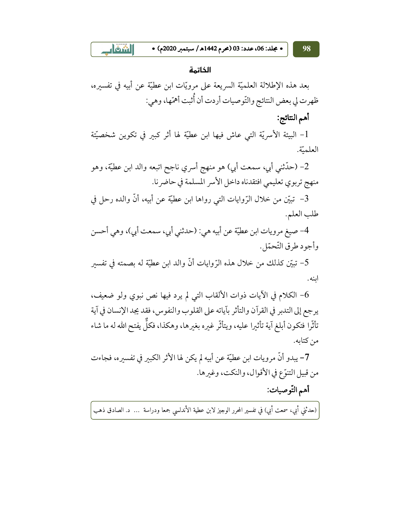**Aom** • مجلد: 06، عدد: 03 (محرم 1442هـ/ سبتمبر 2020م) •

الخاتمة

بعد هذه الإطلالة العلميَّة السريعة على مرويَّات ابن عطيَّة عن أبيه في تفسيره، ظهرت لي بعض النتائج والتّوصيات أردت أن أُثبت أهمّها، وهي:

أهم النتائج:

1- البيئة الأسريّة التي عاش فيها ابن عطيّة لها أثر كبير في تكوين شخصيّتة العلميّة.

2– (حدّثني أبي، سمعت أبي) هو منهج أسري ناجح اتبعه والد ابن عطيّة، وهو منهج تربوي تعليمي افتقدناه داخل الأسر المسلمة في حاضرنا.

3– تبيَّن من خلال الرِّوايات التي رواها ابن عطيَّة عن أبيه، أنَّ والده رحل في طلب العلم.

4- صيغ مرويات ابن عطيَّة عن أبيه هي: (حدثني أبي، سمعت أبي)، وهي أحسن وأجود طرق التَّحمّل.

5– تبيِّن كذلك من خلال هذه الرِّوايات أنَّ والد ابن عطيَّة له بصمته في تفسىر اىنە.

- الكلام في الآيات ذوات الألقاب التي لم يرد فيها نص نبوي ولو ضعيف،  $6$ ير جع إلى التدبر في القرآن والتأثر بآياته على القلوب والنفوس، فقد يجد الإنسان في آية تأثُّرا فتكون أبلغ آية تأثيرا عليه، ويتأثَّر غيره بغيرها، وهكذا، فكلَّ يفتح الله له ما شاء من كتابه.

7– يبدو أنَّ مرويات ابن عطيَّة عن أبيه لم يكن لها الأثر الكبير في تفسيره، فجاءت من قبيل التنوَّع في الأقوال، والنكت، وغيرها.

أهم التّوصيات:

(حدثني أبي، سمعت أبي) في تفسير المحرر الوجيز لابن عطية الأندلسي جمعا ودراسة … د. الصادق ذهب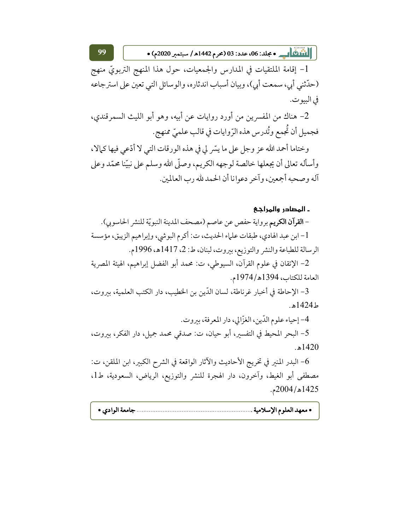||110 هـ - مجلد: 06، عدد: 03 (محرم 1442هـ/ سبتمبر 2020م) •

1- إقامة الملتقيات في المدارس والجمعيات، حول هذا المنهج التربويّ منهج (حدِّثني أبي، سمعت أبي)، وبيان أسباب اندثاره، والوسائل التي تعين على استرجاعه في البيو ت.

2– هناك من المفسرين من أورد روايات عن أبيه، وهو أبو الليث السمرقندي، فجميل أن تُجمع وتُدرس هذه الرّوايات في قالب علميّ ممنهج.

وختاما أحمد الله عز وجل على ما يسَّر لي في هذه الورقات التي لا أدَّعي فيها كمالا، وأسأله تعالى أن يجعلها خالصة لوجهه الكريم، وصلَّى الله وسلم على نبيَّنا محمَّد وعلى آله وصحبه أجمعين، وآخر دعوانا أن الحمد لله رب العالمين.

### ـ المصادر والمراجع

- ا**لقرآن الكريم** برواية حفص عن عاصم (مصحف المدينة النبويّة للنشر الحاسوبي). 1- ابن عبد الهادي، طبقات علماء الحديث، ت: أكرم البوشي، وإبراهيم الزيبق، مؤسسة الرسالة للطباعة والنشر والتوزيع، بيروت، لبنان، ط: 2، 1417هـ، 1996م.

2– الإتقان في علوم القرآن، السيوطي، ت: محمد أبو الفضل إبراهيم، الهيئة المصرية العامة للكتاب، 1394هـ/1974م.

3- الإحاطة في أخبار غرناطة، لسان الدِّين بن الخطيب، دار الكتب العلمية، ببروت، ط1424ه.

4- إحياء علوم الدّين، الغزّالي، دار المعرفة، بيروت.

5– البحر المحيط في التفسير، أبو حيان، ت: صدقي محمد جميل، دار الفكر، بيروت،  $.51420$ 

6– البدر المنير في تخريج الأحاديث والآثار الواقعة في الشرح الكبير، ابن الملقن، ت: مصطفى أبو الغيط، وآخرون، دار الهجرة للنشر والتوزيع، الرياض، السعودية، ط1، 1425هـ/2004م.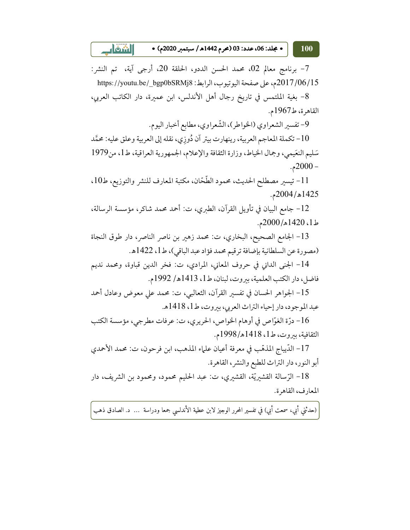$\blacksquare$ • مجلد: 06، عدد: 03 (محرم 1442هـ / سبتمبر 2020م) • 100

7- برنامج معالم 02، محمد الحسن الددو، الحلقة 20، أرجى آية، تم النشر: 2017/06/15م، على صفحة اليوتيوب، الرابط: https://youtu.be/\_bgp0bSRMj8

8- بغية الملتمس في تاريخ رجال أهل الأندلس، ابن عميرة، دار الكاتب العربي، القاهرة، ط1967م.

9- تفسير الشعراوي (الخواطر)، الشّعراوي، مطابع أخبار اليوم.

10- تكملة المعاجم العربية، رينهارت بيتر آن دُوِزِي، نقله إلى العربية وعلق عليه: محمَّد سَلِيم النعَيمي، وجمال الخياط، وزارة الثقافة والإعلام، الجمهورية العراقية، ط1، من1979  $-2000-$ 

11- تيسير مصطلح الحديث، محمود الطَّحَّان، مكتبة المعارف للنشر والتوزيع، ط10، 1425هـ/2004م.

12- جامع البيان في تأويل القرآن، الطبري، ت: أحمد محمد شاكر، مؤسسة الرسالة، ط1، 1420هـ/2000م.

13- الجامع الصحيح، البخاري، ت: محمد زهير بن ناصر الناصر، دار طوق النجاة (مصورة عن السلطانية بإضافة ترقيم محمد فؤاد عبد الباقي)، ط1، 1422هـ.

14- الجني الداني في حروف المعاني، المرادي، ت: فخر الدين قباوة، ومحمد نديم فاضل، دار الكتب العلمية، بيروت، لبنان، ط1، 1413هـ/ 1992م.

15– الجواهر الحسان في تفسير القرآن، الثعالبي، ت: محمد على معوض وعادل أحمد عبد الموجود، دار إحياء التراث العربي، بيروت، ط1، 1418هـ.

16– درّة الغوّاص في أوهام الخواص، الحريري، ت: عرفات مطرجي، مؤسسة الكتب الثقافية، بيروت، ط1، 1418هـ/1998م.

17- الدِّيباج المذهَّب في معرفة أعيان علماء المذهب، ابن فرحون، ت: محمد الأحمدي أبو النور، دار التراث للطبع والنشر، القاهرة.

18– الرّسالة القشيريّة، القشيري، ت: عبد الحليم محمود، ومحمود بن الشريف، دار المعارف، القاهرة.

(حدثني أبي، سمعت أبي) في تفسير المحرر الوجيز لابن عطية الأندلسي جمعا ودراسة … د. الصادق ذهب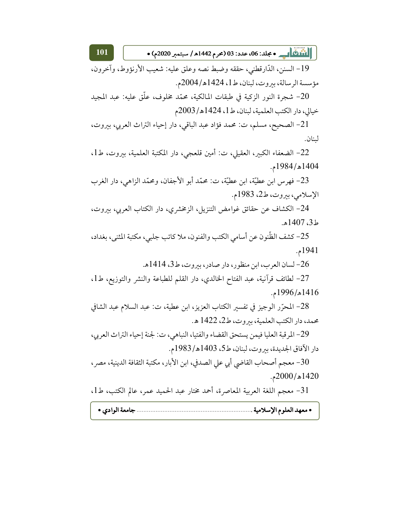19- السنن، الدَّارقطني، حققه وضبط نصه وعلق عليه: شعيب الأرنؤوط، وآخرون، مؤسسة الرسالة، بيروت، لبنان، ط1، 1424هـ/2004م.

20– شجرة النور الزكية في طبقات المالكية، محمّد مخلوف، علّق عليه: عبد المجيد خيالي، دار الكتب العلمية، لبنان، ط1، 1424هـ/2003م

21– الصحيح، مسلم، ت: محمد فؤاد عبد الباقي، دار إحياء التراث العربي، بيروت، لىنان.

22- الضعفاء الكبير، العقيلي، ت: أمين قلعجي، دار المكتبة العلمية، بيروت، ط1، 1404هـ/1984م.

23- فهرس ابن عطيّة، ابن عطيّة، ت: محمّد أبو الأجفان، ومحمّد الزاهي، دار الغرب الإسلامي، بيروت، ط2، 1983م.

24– الكشاف عن حقائق غوامض التنزيل، الزمخشري، دار الكتاب العربي، بيروت، ط3، 1407هـ.

25– كشف الظّنون عن أسامي الكتب والفنون، ملا كاتب جلبي، مكتبة المثني، بغداد، 1941م.

26- لسان العرب، ابن منظور، دار صادر، بيروت، ط3، 1414هـ.

27– لطائف قرآنية، عبد الفتاح الخالدي، دار القلم للطباعة والنشر والتوزيع، ط1، 1416هـ/1996م.

28– المحرّر الوجيز في تفسير الكتاب العزيز، ابن عطية، ت: عبد السلام عبد الشافي محمد، دار الكتب العلمية، بيروت، ط2، 1422 هـ.

29- المرقبة العليا فيمن يستحق القضاء والفتيا، النباهي، ت: لجنة إحياء التراث العربي، دار الآفاق الجديدة، بيروت، لبنان، ط5، 1403هـ/1983م.

30- معجم أصحاب القاضي أبي على الصدفي، ابن الأبار، مكتبة الثقافة الدينية، مصر، 1420هـ/2000م.

31- معجم اللغة العربية المعاصرة، أحمد مختار عبد الحميد عمر، عالم الكتب، ط1،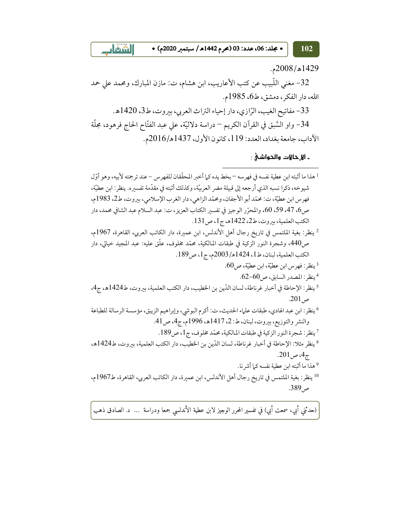$\Box$  only • مجلد: 06، عدد: 03 (محرم 1442هـ/ سبتمبر 2020م) •

1429هـ/2008م.

102

32- مغنى اللّبيب عن كتب الأعاريب، ابن هشام، ت: مازن المبارك، ومحمد على حمد الله، دار الفكر، دمشق، ط6، 1985م.

33- مفاتيح الغيب، الرّازي، دار إحياء التراث العربي، بيروت، ط3، 1420هـ.

34- واو السَّبق في القرآن الكريم – دراسة دلاليَّة، على عبد الفتَّاح الحاج فرهود، مجلَّة الآداب، جامعة بغداد، العدد: 119، كانون الأول، 1437هـ/2016م.

ـ الا حالات والحواشي :

<sup>1</sup> هذا ما أثبته ابن عطية نفسه في فهر سه – بخط يده كما أخبر المحقّقان للفهر س – عند ترجمته لأبيه، وهو أوّل شيوخه، ذكرا نسبه الذي أرجعه إلى قبيلة مضر العربيّة، وكذلك أثبته في مقدّمة تفسيره. ينظر : ابن عطيّة، فهر س ابن عطيَّة، ت: محمَّد أبو الأجفان، ومحمَّد الزاهي، دار الغرب الإسلامي، بيروت، ط2، 1983م، ص6، 47، 59، 60، والمحرّر الوجيز في تفسير الكتاب العزيز، ت: عبد السلام عبد الشافي محمد، دار الكتب العلمية، بيروت، ط2، 1422هـ، ج1، ص131.

<sup>2</sup> ينظر: بغية الملتمس في تاريخ رجال أهل الأندلس، ابن عميرة، دار الكاتب العربي، القاهرة، 1967م، ص440، وشجرة النور الزكية في طبقات المـالكية، محمّد مخلوف، علّق عليه: عبد المجيد خيالى، دار الكتب العلمية، لبنان، ط1، 1424هـ/2003م، ج1، ص189.

 $60$ ينظر : فهرس ابن عطيّة، ابن عطيّة، ص 60.  $^3$ 

 $62-60$ ينظر: المصدر السابق، ص

5 ينظر: الإحاطة في أخبار غرناطة، لسان الدّين بن الخطيب، دار الكتب العلمية، بيروت، ط1424ه، ج4،  $.201\,$ ص

<sup>6</sup> ينظر: ابن عبد الهادي، طبقات علماء الحديث، ت: أكرم البوشي، وإبراهيم الزيبق، مؤسسة الرسالة للطباعة والنشر والتوزيع، بيروت، لبنان، ط: 2، 1417هـ، 1996م، ج4، ص41.

7 ينظر: شجرة النور الزكية في طبقات المالكية، محمّد مخلوف، ج1، ص189.

8 ينظر مثلا: الإحاطة في أخبار غرناطة، لسان الدّين بن الخطيب، دار الكتب العلمية، بيروت، ط1424هـ، ج4، ص201.

<sup>9</sup> هذا ما أثبته ابن عطية نفسه كيا أشر نا.

10 ينظر : بغية الملتمس في تاريخ رجال أهل الأندلس، ابن عميرة، دار الكاتب العربي، القاهرة، ط1967م، ص389.

(حدثني أبي، سمعت أبي) في تفسير المحرر الوجيز لابن عطية الأندلسي جمعا ودراسة … د. الصادق ذهب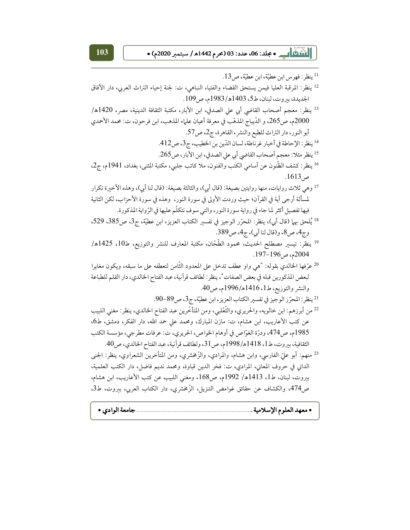<sup>11</sup> ينظر: فهرس ابن عطيّة، ابن عطيّة، ص13. 12 ينظر: المرقبة العليا فيمن يستحق القضاء والفتيا، النباهي، ت: لجنة إحياء التراث العربي، دار الآفاق الجديدة، بيروت، لبنان، ط5، 1403هـ/1983م، ص109. <sup>13</sup> ينظر: معجم أصحاب القاضي أبي على الصدفي، ابن الأبار، مكتبة الثقافة الدينية، مصر، 1420هـ/ 2000م، ص265، و الدِّيباج المذهَّب في معرفة أعيان علماء المذهب، ابن فرحون، ت: محمد الأحمدي أبو النور، دار التراث للطبع والنشر، القاهرة، ج2، ص57. 14 ينظر: الإحاطة في أخبار غرناطة، لسان الدّين بن الخطيب، ج3، ص412. 15 ينظر مثلا: معجم أصحاب القاضي أبي على الصدفي، ابن الأبار، ص265. 16 ينظر: كشف الظّنون عن أسامي الكتب والفنون، ملا كاتب جلبي، مكتبة المثني، بغداد، 1941م، ج2. ص1613. <sup>17</sup> وهي ثلاث روايات، منها روايتين بصيغة: (قال أبي)، والثالثة بصيغة: (قال لنا أبي)، وهذه الأخيرة تكرار لمسألة أرجى آية في القرآن؛ حيث وردت الأولى في سورة النور، وهذه في سورة الأحزاب، لكن الثانية فيها تفصيل أكثر لما جاء في رواية سورة النور، والتي سوف نتكلَّم عليها في الرِّواية المذكورة. <sup>18</sup> يُلحق بهما (قال أبي)، ينظر: المحرّر الوجيز في تفسير الكتاب العزيز، ابن عطيّة، ج3، ص385، 529، وج4، ص8، و(قال لنا أي)، ج4، ص389. <sup>19</sup> ينظر: تيسير مصطلح الحديث، محمود الطَّحّان، مكتبة المعارف للنشر والتوزيع، ط10، 1425هـ/ 2004م، ص196-197. <sup>20</sup> عرّفها الخالدي بقوله: "هي واو عطف تدخل على المعدود الثّامن لتعطفه على ما سبقه، ويكون مغايرا لبعض المذكورين قبله في بعض الصفات"، ينظر : لطائف قرآنية، عبد الفتاح الخالدي، دار القلم للطباعة والنشر والتوزيع، ط1، 1416هـ/1996م، ص40. 21 ينظر: المحرّر الوجيز في تفسير الكتاب العزيز، ابن عطيّة، ج3، ص89-90. <sup>22</sup> من أبرزهم: ابن خالويه، والحريري، والثَّعْلبي، ومن المتأخَّرين عبد الفتاح الخالدي، ينظر: مغنى اللبيب عن كتب الأعاريب، ابن هشام، ت: مازن المبارك، ومحمد على حمد الله، دار الفكر، دمشق، ط6، 1985م، ص474، ودرّة الغوّاص في أوهام الخواص، الحريري، ت: عرفات مطرجي، مؤسسة الكتب الثقافية، بيروت، ط1، 1418هـ/1998م، ص31، ولطائف قرآنية، عبد الفتاح الخالدي، ص40. <sup>23</sup> منهم: أبو عليّ الفارسى، وابن هشام، والمرادي، والزّخشري، ومن المتأخرين الشعراوي، ينظر: الجنى الداني في حروف المعاني، المرادي، ت: فخر الدين قباوة، ومحمد نديم فاضل، دار الكتب العلمية، بيروت، لبنان، ط1، 1413هـ/ 1992م، ص168، ومغنى اللبيب عن كتب الأعاريب، ابن هشام، ص474، والكشاف عن حقائق غوامض التنزيل، الزَّمخشري، دار الكتاب العربي، بيروت، ط3،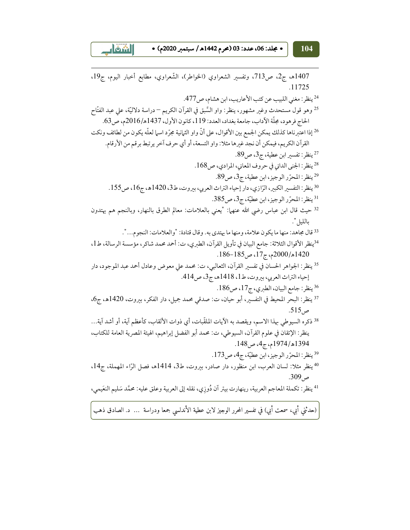• مجلد: 06، عدد: 03 (محرم 1442هـ/ سبتمبر 2020م) •

 $\lfloor \frac{\delta}{2} \rfloor$ 

1407هـ، ج2، ص713، وتفسير الشعراوي (الخواطر)، الشّعراوي، مطابع أخبار اليوم، ج19، .11725 <sup>24</sup> ينظر: مغني اللبيب عن كتب الأعاريب، ابن هشام، ص477. <sup>25</sup> وهو قول مستحدث وغير مشهور، ينظر: واو السَّبق في القرآن الكريم <sup>—</sup> دراسة دلاليَّة، على عبد الفتّاح الحاج فرهود، مجلَّة الآداب، جامعة بغداد، العدد: 119، كانون الأول، 1437هـ/2016م، ص63. <sup>26</sup> إذا اعتبرناها كذلك يمكن الجمع بين الأقوال، على أنَّ واو الثمانية مجرّد اسما لعلّه يكون من لطائف ونكت القرآن الكريم، فيمكن أن نجد غيرها مثلا: واو التسعة، أو أي حرف آخر يرتبط برقم من الأرقام. 27 ينظر : تفسير ابن عطية، ج3، ص89. <sup>28</sup> ينظر : الجنبي الداني في حروف المعاني، المرادي، ص168. <sup>29</sup> ينظر : المحرِّر الوجيز ، ابن عطية، ج3، ص89. <sup>30</sup> ينظر: التفسير الكبير، الرّازي، دار إحياء التراث العربي، بيروت، ط3، 1420هـ، ج16، ص155. <sup>31</sup> ينظر: المحرّر الوجيز، ابن عطيّة، ج3، ص385. <sup>32</sup> حيث قال ابن عباس رضي الله عنهم|: "يعني بالعلامات: معالم الطرق بالنهار، وبالنجم هم يهتدون بالليل". <sup>33</sup> قال مجاهد: منها ما يكون علامة، ومنها ما يهتدي به. وقال قتادة: "والعلامات: النجوم...". <sup>34</sup>ينظر الأقوال الثلاثة: جامع البيان في تأويل القرآن، الطبري، ت: أحمد محمد شاكر، مؤسسة الرسالة، ط1، 1420هـ/2000م، ج17، ص185-186. 35 ينظر: الجواهر الحسان في تفسير القرآن، الثعالبي، ت: محمد على معوض وعادل أحمد عبد الموجود، دار إحياء التراث العربي، بيروت، ط1، 1418هه، ج3، ص414. 36 ينظر: جامع البيان، الطبري، ج17، ص186. 37 ينظر: البحر المحيط في التفسير، أبو حيان، ت: صدقى محمد جميل، دار الفكر، بيروت، 1420هـ، ج6، ص 515. <sup>38</sup> ذكره السيوطي بهذا الاسم، ويقصد به الآيات الملقّبات، أي ذوات الألقاب، كأعظم آية، أو أشد آية… ينظر: الإتقان في علوم القرآن، السيوطي، ت: محمد أبو الفضل إبراهيم، الهيئة المصرية العامة للكتاب، 1394هه/1974م، ج4، ص148. <sup>39</sup> ينظر: المحرّر الوجيز، ابن عطيّة، ج4، ص173. 40 ينظر مثلا: لسان العرب، ابن منظور، دار صادر، بيروت، ط3، 1414ه، فصل الرّاء المهملة، ج14، ص905. 41 ينظر : تكملة المعاجم العربية، رينهارت بيتر آن دُوزِي، نقله إلى العربية وعلق عليه: محمَّد سَليم النعَيمي،

(حدثني أبي، سمعت أبي) في تفسير المحرر الوجيز لابن عطية الأندلسي جمعا ودراسة … د. الصادق ذهب